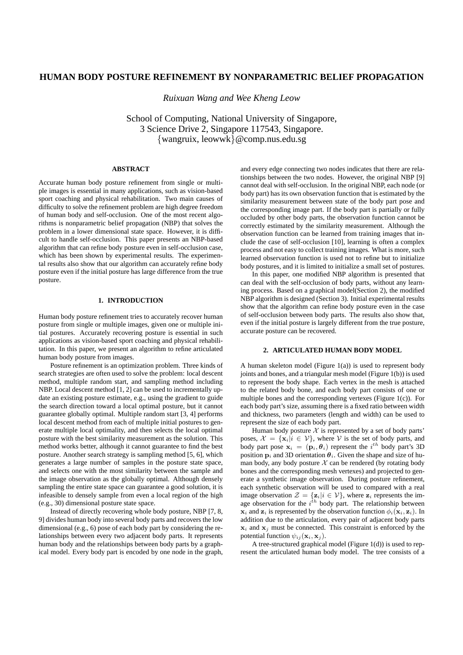# **HUMAN BODY POSTURE REFINEMENT BY NONPARAMETRIC BELIEF PROPAGATION**

*Ruixuan Wang and Wee Kheng Leow*

School of Computing, National University of Singapore, 3 Science Drive 2, Singapore 117543, Singapore. {wangruix, leowwk}@comp.nus.edu.sg

# **ABSTRACT**

Accurate human body posture refinement from single or multiple images is essential in many applications, such as vision-based sport coaching and physical rehabilitation. Two main causes of difficulty to solve the refinement problem are high degree freedom of human body and self-occlusion. One of the most recent algorithms is nonparametric belief propagation (NBP) that solves the problem in a lower dimensional state space. However, it is difficult to handle self-occlusion. This paper presents an NBP-based algorithm that can refine body posture even in self-occlusion case, which has been shown by experimental results. The experimental results also show that our algorithm can accurately refine body posture even if the initial posture has large difference from the true posture.

## **1. INTRODUCTION**

Human body posture refinement tries to accurately recover human posture from single or multiple images, given one or multiple initial postures. Accurately recovering posture is essential in such applications as vision-based sport coaching and physical rehabilitation. In this paper, we present an algorithm to refine articulated human body posture from images.

Posture refinement is an optimization problem. Three kinds of search strategies are often used to solve the problem: local descent method, multiple random start, and sampling method including NBP. Local descent method [1, 2] can be used to incrementally update an existing posture estimate, e.g., using the gradient to guide the search direction toward a local optimal posture, but it cannot guarantee globally optimal. Multiple random start [3, 4] performs local descent method from each of multiple initial postures to generate multiple local optimality, and then selects the local optimal posture with the best similarity measurement as the solution. This method works better, although it cannot guarantee to find the best posture. Another search strategy is sampling method [5, 6], which generates a large number of samples in the posture state space, and selects one with the most similarity between the sample and the image observation as the globally optimal. Although densely sampling the entire state space can guarantee a good solution, it is infeasible to densely sample from even a local region of the high (e.g., 30) dimensional posture state space.

Instead of directly recovering whole body posture, NBP [7, 8, 9] divides human body into several body parts and recovers the low dimensional (e.g., 6) pose of each body part by considering the relationships between every two adjacent body parts. It represents human body and the relationships between body parts by a graphical model. Every body part is encoded by one node in the graph,

and every edge connecting two nodes indicates that there are relationships between the two nodes. However, the original NBP [9] cannot deal with self-occlusion. In the original NBP, each node (or body part) has its own observation function that is estimated by the similarity measurement between state of the body part pose and the corresponding image part. If the body part is partially or fully occluded by other body parts, the observation function cannot be correctly estimated by the similarity measurement. Although the observation function can be learned from training images that include the case of self-occlusion [10], learning is often a complex process and not easy to collect training images. What is more, such learned observation function is used not to refine but to initialize body postures, and it is limited to initialize a small set of postures.

In this paper, one modified NBP algorithm is presented that can deal with the self-occlusion of body parts, without any learning process. Based on a graphical model(Section 2), the modified NBP algorithm is designed (Section 3). Initial experimental results show that the algorithm can refine body posture even in the case of self-occlusion between body parts. The results also show that, even if the initial posture is largely different from the true posture, accurate posture can be recovered.

### **2. ARTICULATED HUMAN BODY MODEL**

A human skeleton model (Figure  $1(a)$ ) is used to represent body joints and bones, and a triangular mesh model (Figure 1(b)) is used to represent the body shape. Each vertex in the mesh is attached to the related body bone, and each body part consists of one or multiple bones and the corresponding vertexes (Figure 1(c)). For each body part's size, assuming there is a fixed ratio between width and thickness, two parameters (length and width) can be used to represent the size of each body part.

Human body posture  $X$  is represented by a set of body parts' poses,  $\mathcal{X} = \{x_i | i \in \mathcal{V}\}\$ , where  $\mathcal{V}$  is the set of body parts, and body part pose  $\mathbf{x}_i = (\mathbf{p}_i, \theta_i)$  represent the  $i^{th}$  body part's 3D position  $\mathbf{p}_i$  and 3D orientation  $\theta_i$ . Given the shape and size of human body, any body posture  $\mathcal X$  can be rendered (by rotating body bones and the corresponding mesh vertexes) and projected to generate a synthetic image observation. During posture refinement, each synthetic observation will be used to compared with a real image observation  $\mathcal{Z} = \{z_i | i \in \mathcal{V}\}\$ , where  $z_i$  represents the image observation for the  $i^{th}$  body part. The relationship between  $x_i$  and  $z_i$  is represented by the observation function  $\phi_i(x_i, z_i)$ . In addition due to the articulation, every pair of adjacent body parts  $x_i$  and  $x_j$  must be connected. This constraint is enforced by the potential function  $\psi_{ij}(\mathbf{x}_i, \mathbf{x}_j)$ .

A tree-structured graphical model (Figure 1(d)) is used to represent the articulated human body model. The tree consists of a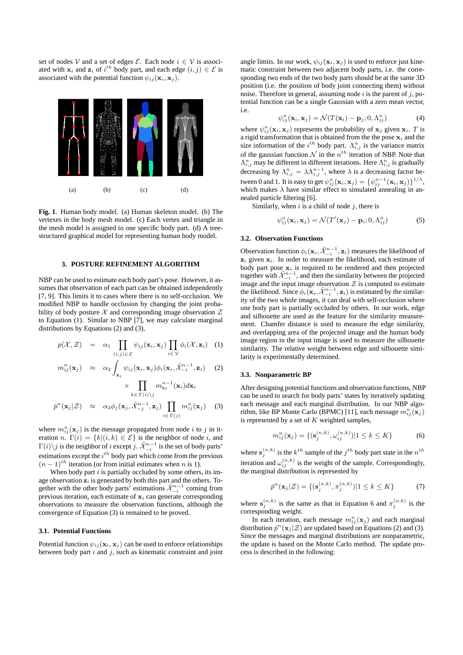set of nodes V and a set of edges  $\mathcal{E}$ . Each node  $i \in V$  is associated with  $x_i$  and  $z_i$  of  $i^{th}$  body part, and each edge  $(i, j) \in \mathcal{E}$  is associated with the potential function  $\psi_{ij}(\mathbf{x}_i, \mathbf{x}_j)$ .



**Fig. 1**. Human body model. (a) Human skeleton model. (b) The vertexes in the body mesh model. (c) Each vertex and triangle in the mesh model is assigned to one specific body part. (d) A treestructured graphical model for representing human body model.

### **3. POSTURE REFINEMENT ALGORITHM**

NBP can be used to estimate each body part's pose. However, it assumes that observation of each part can be obtained independently [7, 9]. This limits it to cases where there is no self-occlusion. We modified NBP to handle occlusion by changing the joint probability of body posture  $\mathcal X$  and corresponding image observation  $\mathcal Z$ to Equation (1). Similar to NBP [7], we may calculate marginal distributions by Equations (2) and (3),

$$
p(\mathcal{X}, \mathcal{Z}) = \alpha_1 \prod_{(i,j) \in \mathcal{E}} \psi_{ij}(\mathbf{x}_i, \mathbf{x}_j) \prod_{i \in \mathcal{V}} \phi_i(\mathcal{X}, \mathbf{z}_i) \quad (1)
$$

$$
m_{ij}^{n}(\mathbf{x}_{j}) \approx \alpha_{2} \int_{\mathbf{x}_{i}} \psi_{ij}(\mathbf{x}_{i}, \mathbf{x}_{j}) \phi_{i}(\mathbf{x}_{i}, \tilde{\mathcal{X}}_{-i}^{n-1}, \mathbf{z}_{i}) \quad (2)
$$

$$
\times \prod_{k \in \Gamma(i)\backslash j} m_{ki}^{n-1}(\mathbf{x}_i) d\mathbf{x}_i
$$

$$
\hat{p}^n(\mathbf{x}_j|\mathcal{Z}) \approx \alpha_3 \phi_j(\mathbf{x}_j, \tilde{\mathcal{X}}_{-j}^{n-1}, \mathbf{z}_j) \prod_{i \in \Gamma(j)} m_{ij}^n(\mathbf{x}_j) \quad (3)
$$

where  $m_{ij}^n(\mathbf{x}_j)$  is the message propagated from node i to j in iteration n.  $\Gamma(i) = \{k | (i, k) \in \mathcal{E}\}\$ is the neighbor of node i, and  $\Gamma(i)\backslash j$  is the neighbor of  $i$  except  $j$ .  $\tilde{\mathcal{X}}_{-i}^{n-1}$  is the set of body parts' estimations except the  $i^{th}$  body part which come from the previous  $(n-1)<sup>th</sup>$  iteration (or from initial estimates when n is 1).

When body part  $i$  is partially occluded by some others, its image observation  $z_i$  is generated by both this part and the others. Together with the other body parts' estimations  $\tilde{\mathcal{X}}_{-i}^{n-1}$  coming from previous iteration, each estimate of  $x_i$  can generate corresponding observations to measure the observation functions, although the convergence of Equation (3) is remained to be proved.

## **3.1. Potential Functions**

Potential function  $\psi_{ij}(\mathbf{x}_i, \mathbf{x}_j)$  can be used to enforce relationships between body part  $i$  and  $j$ , such as kinematic constraint and joint angle limits. In our work,  $\psi_{ij}(\mathbf{x}_i, \mathbf{x}_j)$  is used to enforce just kinematic constraint between two adjacent body parts, i.e. the corresponding two ends of the two body parts should be at the same 3D position (i.e. the position of body joint connecting them) without noise. Therefore in general, assuming node  $i$  is the parent of  $j$ , potential function can be a single Gaussian with a zero mean vector, i.e.

$$
\psi_{ij}^n(\mathbf{x}_i, \mathbf{x}_j) = \mathcal{N}(T(\mathbf{x}_i) - \mathbf{p}_j; 0, \Lambda_{ij}^n)
$$
(4)

where  $\psi_{ij}^n(\mathbf{x}_i, \mathbf{x}_j)$  represents the probability of  $\mathbf{x}_j$  given  $\mathbf{x}_i$ . T is a rigid transformation that is obtained from the the pose  $x_i$  and the size information of the  $i^{th}$  body part.  $\Lambda_{i,j}^n$  is the variance matrix of the gaussian function  $\mathcal N$  in the  $n^{th}$  iteration of NBP. Note that  $\Lambda_{i,j}^n$  may be different in different iterations. Here  $\Lambda_{i,j}^n$  is gradually decreasing by  $\Lambda_{i,j}^n = \lambda \Lambda_{i,j}^{n-1}$ , where  $\lambda$  is a decreasing factor between 0 and 1. It is easy to get  $\psi_{ij}^n(\mathbf{x}_i, \mathbf{x}_j) = {\psi_{ij}^{n-1}(\mathbf{x}_i, \mathbf{x}_j)}^{1/\lambda}$ , which makes  $\lambda$  have similar effect to simulated annealing in annealed particle filtering [6].

Similarly, when  $i$  is a child of node  $j$ , there is

$$
\psi_{ij}^n(\mathbf{x}_i, \mathbf{x}_j) = \mathcal{N}(T'(\mathbf{x}_j) - \mathbf{p}_i; 0, \Lambda_{ij}^n)
$$
(5)

### **3.2. Observation Functions**

Observation function  $\phi_i(\mathbf{x}_i, \tilde{\mathcal{X}}_{-i}^{n-1}, \mathbf{z}_i)$  measures the likelihood of  $z_i$  given  $x_i$ . In order to measure the likelihood, each estimate of body part pose  $x_i$  is required to be rendered and then projected together with  $\tilde{\mathcal{X}}_{-i}^{n-1}$ , and then the similarity between the projected image and the input image observation  $\mathcal Z$  is computed to estimate the likelihood. Since  $\phi_i(\mathbf{x}_i, \tilde{\mathcal{X}}_{-i}^{n-1}, \mathbf{z}_i)$  is estimated by the similarity of the two whole images, it can deal with self-occlusion where one body part is partially occluded by others. In our work, edge and silhouette are used as the feature for the similarity measurement. Chamfer distance is used to measure the edge similarity, and overlapping area of the projected image and the human body image region in the input image is used to measure the silhouette similarity. The relative weight between edge and silhouette similarity is experimentally determined.

#### **3.3. Nonparametric BP**

After designing potential functions and observation functions, NBP can be used to search for body parts' states by iteratively updating each message and each marginal distribution. In our NBP algorithm, like BP Monte Carlo (BPMC) [11], each message  $m_{ij}^n(\mathbf{x}_j)$ is represented by a set of  $K$  weighted samples,

$$
m_{ij}^{n}(\mathbf{x}_{j}) = \{ (\mathbf{s}_{j}^{(n,k)}, \omega_{ij}^{(n,k)}) | 1 \leq k \leq K \}
$$
 (6)

where  $\mathbf{s}_j^{(n,k)}$  is the  $k^{th}$  sample of the  $j^{th}$  body part state in the  $n^{th}$ iteration and  $\omega_{ij}^{(n,k)}$  is the weight of the sample. Correspondingly, the marginal distribution is represented by

$$
\hat{p}^{n}(\mathbf{x}_{j}|\mathcal{Z}) = \{ (\mathbf{s}_{j}^{(n,k)}, \pi_{j}^{(n,k)}) | 1 \le k \le K \}
$$
 (7)

where  $s_j^{(n,k)}$  is the same as that in Equation 6 and  $\pi_j^{(n,k)}$  is the corresponding weight.

In each iteration, each message  $m_{ij}^n(\mathbf{x}_j)$  and each marginal distribution  $\hat{p}^n(\mathbf{x}_j|\mathcal{Z})$  are updated based on Equations (2) and (3). Since the messages and marginal distributions are nonparametric, the update is based on the Monte Carlo method. The update process is described in the following: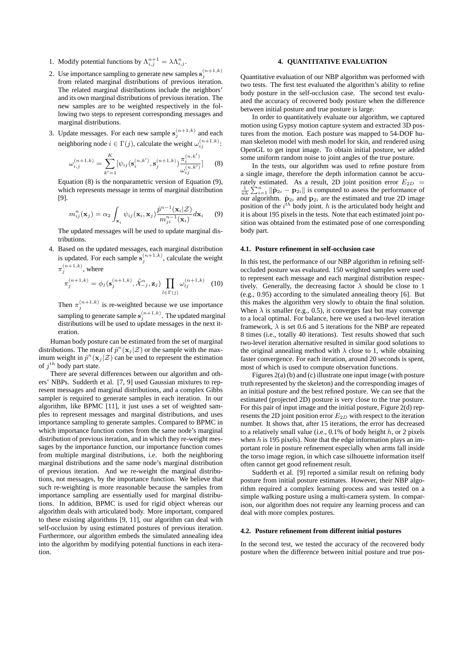- 1. Modify potential functions by  $\Lambda_{i,j}^{n+1} = \lambda \Lambda_{i,j}^n$ .
- 2. Use importance sampling to generate new samples  $\mathbf{s}_j^{(n+1,k)}$ from related marginal distributions of previous iteration. The related marginal distributions include the neighbors' and its own marginal distributions of previous iteration. The new samples are to be weighted respectively in the following two steps to represent corresponding messages and marginal distributions.
- 3. Update messages. For each new sample  $\mathbf{s}_j^{(n+1,k)}$  and each neighboring node  $i \in \Gamma(j)$ , calculate the weight  $\omega_{ij}^{(n+1,k)}$ :

$$
\omega_{i,j}^{(n+1,k)} = \sum_{k'=1}^{K} [\psi_{ij}(\mathbf{s}_i^{(n,k')}, \mathbf{s}_j^{(n+1,k)}) \frac{\pi_i^{(n,k')}}{\omega_{ij}^{(n,k')}}] \tag{8}
$$

Equation (8) is the nonparametric version of Equation (9), which represents message in terms of marginal distribution [9].

$$
m_{ij}^n(\mathbf{x}_j) = \alpha_2 \int_{\mathbf{x}_i} \psi_{ij}(\mathbf{x}_i, \mathbf{x}_j) \frac{\hat{p}^{n-1}(\mathbf{x}_i | \mathcal{Z})}{m_{ji}^{n-1}(\mathbf{x}_i)} d\mathbf{x}_i \qquad (9)
$$

The updated messages will be used to update marginal distributions.

4. Based on the updated messages, each marginal distribution is updated. For each sample  $s_j^{(n+1,k)}$ , calculate the weight  $\pi_j^{(n+1,k)}$ , where

$$
\pi_j^{(n+1,k)} = \phi_j(\mathbf{s}_j^{(n+1,k)}, \tilde{\mathcal{X}}_{-j}^n, \mathbf{z}_j) \prod_{l \in \Gamma(j)} \omega_{lj}^{(n+1,k)} \tag{10}
$$

Then  $\pi_j^{(n+1,k)}$  is re-weighted because we use importance sampling to generate sample  $\mathbf{s}_j^{(n+1,k)}$ . The updated marginal distributions will be used to update messages in the next iteration.

Human body posture can be estimated from the set of marginal distributions. The mean of  $\hat{p}^n(\mathbf{x}_j|\mathcal{Z})$  or the sample with the maximum weight in  $\hat{p}^n(\mathbf{x}_j|\mathcal{Z})$  can be used to represent the estimation of  $j^{th}$  body part state.

There are several differences between our algorithm and others' NBPs. Sudderth et al. [7, 9] used Gaussian mixtures to represent messages and marginal distributions, and a complex Gibbs sampler is required to generate samples in each iteration. In our algorithm, like BPMC [11], it just uses a set of weighted samples to represent messages and marginal distributions, and uses importance sampling to generate samples. Compared to BPMC in which importance function comes from the same node's marginal distribution of previous iteration, and in which they re-weight messages by the importance function, our importance function comes from multiple marginal distributions, i.e. both the neighboring marginal distributions and the same node's marginal distribution of previous iteration. And we re-weight the marginal distributions, not messages, by the importance function. We believe that such re-weighting is more reasonable because the samples from importance sampling are essentially used for marginal distributions. In addition, BPMC is used for rigid object whereas our algorithm deals with articulated body. More important, compared to these existing algorithms [9, 11], our algorithm can deal with self-occlusion by using estimated postures of previous iteration. Furthermore, our algorithm embeds the simulated annealing idea into the algorithm by modifying potential functions in each iteration.

## **4. QUANTITATIVE EVALUATION**

Quantitative evaluation of our NBP algorithm was performed with two tests. The first test evaluated the algorithm's ability to refine body posture in the self-occlusion case. The second test evaluated the accuracy of recovered body posture when the difference between initial posture and true posture is large.

In order to quantitatively evaluate our algorithm, we captured motion using Gypsy motion capture system and extracted 3D postures from the motion. Each posture was mapped to 54-DOF human skeleton model with mesh model for skin, and rendered using OpenGL to get input image. To obtain initial posture, we added some uniform random noise to joint angles of the true posture.

In the tests, our algorithm was used to refine posture from a single image, therefore the depth information cannot be accurately estimated. As a result, 2D joint position error  $E_{2D}$  =  $\frac{1}{nh} \sum_{i=1}^{n} ||\hat{\mathbf{p}}_{2i} - \mathbf{p}_{2i}||$  is computed to assess the performance of our algorithm.  $\hat{\mathbf{p}}_{2i}$  and  $\mathbf{p}_{2i}$  are the estimated and true 2D image position of the  $i^{th}$  body joint. h is the articulated body height and it is about 195 pixels in the tests. Note that each estimated joint position was obtained from the estimated pose of one corresponding body part.

### **4.1. Posture refinement in self-occlusion case**

In this test, the performance of our NBP algorithm in refining selfoccluded posture was evaluated. 150 weighted samples were used to represent each message and each marginal distribution respectively. Generally, the decreasing factor  $\lambda$  should be close to 1 (e.g., 0.95) according to the simulated annealing theory [6]. But this makes the algorithm very slowly to obtain the final solution. When  $\lambda$  is smaller (e.g., 0.5), it converges fast but may converge to a local optimal. For balance, here we used a two-level iteration framework,  $\lambda$  is set 0.6 and 5 iterations for the NBP are repeated 8 times (i.e., totally 40 iterations). Test results showed that such two-level iteration alternative resulted in similar good solutions to the original annealing method with  $\lambda$  close to 1, while obtaining faster convergence. For each iteration, around 20 seconds is spent, most of which is used to compute observation functions.

Figures 2(a) (b) and (c) illustrate one input image (with posture truth represented by the skeleton) and the corresponding images of an initial posture and the best refined posture. We can see that the estimated (projected 2D) posture is very close to the true posture. For this pair of input image and the initial posture, Figure 2(d) represents the 2D joint position error  $E_{2D}$  with respect to the iteration number. It shows that, after 15 iterations, the error has decreased to a relatively small value (i.e.,  $0.1\%$  of body height h, or 2 pixels when  $h$  is 195 pixels). Note that the edge information plays an important role in posture refinement especially when arms fall inside the torso image region, in which case silhouette information itself often cannot get good refinement result.

Sudderth et al. [9] reported a similar result on refining body posture from initial posture estimates. However, their NBP algorithm required a complex learning process and was tested on a simple walking posture using a multi-camera system. In comparison, our algorithm does not require any learning process and can deal with more complex postures.

### **4.2. Posture refinement from different initial postures**

In the second test, we tested the accuracy of the recovered body posture when the difference between initial posture and true pos-